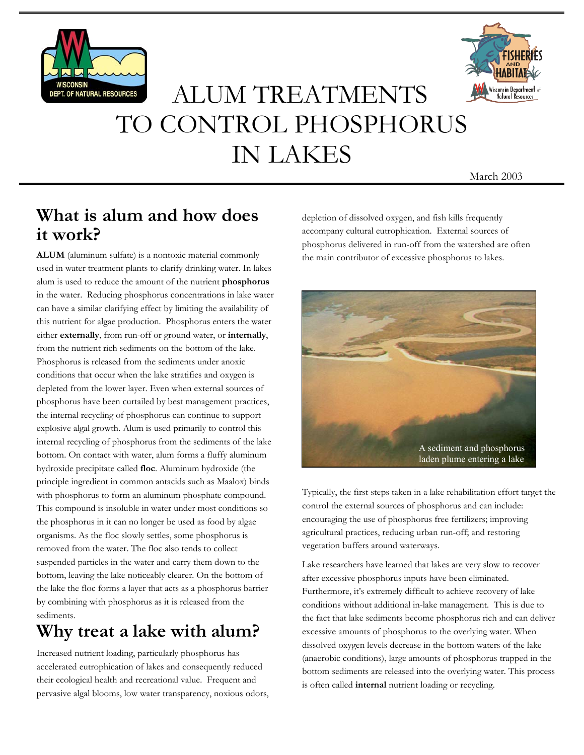



# ALUM TREATMENTS TO CONTROL PHOSPHORUS IN LAKES

March 2003

#### **What is alum and how does it work?**

**ALUM** (aluminum sulfate) is a nontoxic material commonly used in water treatment plants to clarify drinking water. In lakes alum is used to reduce the amount of the nutrient **phosphorus** in the water. Reducing phosphorus concentrations in lake water can have a similar clarifying effect by limiting the availability of this nutrient for algae production. Phosphorus enters the water either **externally**, from run-off or ground water, or **internally**, from the nutrient rich sediments on the bottom of the lake. Phosphorus is released from the sediments under anoxic conditions that occur when the lake stratifies and oxygen is depleted from the lower layer. Even when external sources of phosphorus have been curtailed by best management practices, the internal recycling of phosphorus can continue to support explosive algal growth. Alum is used primarily to control this internal recycling of phosphorus from the sediments of the lake bottom. On contact with water, alum forms a fluffy aluminum hydroxide precipitate called **floc**. Aluminum hydroxide (the principle ingredient in common antacids such as Maalox) binds with phosphorus to form an aluminum phosphate compound. This compound is insoluble in water under most conditions so the phosphorus in it can no longer be used as food by algae organisms. As the floc slowly settles, some phosphorus is removed from the water. The floc also tends to collect suspended particles in the water and carry them down to the bottom, leaving the lake noticeably clearer. On the bottom of the lake the floc forms a layer that acts as a phosphorus barrier by combining with phosphorus as it is released from the sediments.

## **Why treat a lake with alum?**

Increased nutrient loading, particularly phosphorus has accelerated eutrophication of lakes and consequently reduced their ecological health and recreational value. Frequent and pervasive algal blooms, low water transparency, noxious odors, depletion of dissolved oxygen, and fish kills frequently accompany cultural eutrophication. External sources of phosphorus delivered in run-off from the watershed are often the main contributor of excessive phosphorus to lakes.



Typically, the first steps taken in a lake rehabilitation effort target the control the external sources of phosphorus and can include: encouraging the use of phosphorus free fertilizers; improving agricultural practices, reducing urban run-off; and restoring vegetation buffers around waterways.

Lake researchers have learned that lakes are very slow to recover after excessive phosphorus inputs have been eliminated. Furthermore, it's extremely difficult to achieve recovery of lake conditions without additional in-lake management. This is due to the fact that lake sediments become phosphorus rich and can deliver excessive amounts of phosphorus to the overlying water. When dissolved oxygen levels decrease in the bottom waters of the lake (anaerobic conditions), large amounts of phosphorus trapped in the bottom sediments are released into the overlying water. This process is often called **internal** nutrient loading or recycling.